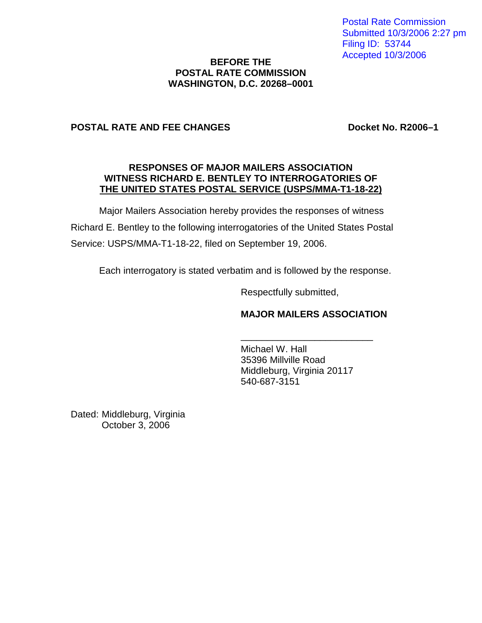Postal Rate Commission Submitted 10/3/2006 2:27 pm Filing ID: 53744 Accepted 10/3/2006

## **BEFORE THE POSTAL RATE COMMISSION WASHINGTON, D.C. 20268–0001**

## **POSTAL RATE AND FEE CHANGES Docket No. R2006–1**

#### **RESPONSES OF MAJOR MAILERS ASSOCIATION WITNESS RICHARD E. BENTLEY TO INTERROGATORIES OF THE UNITED STATES POSTAL SERVICE (USPS/MMA-T1-18-22)**

Major Mailers Association hereby provides the responses of witness Richard E. Bentley to the following interrogatories of the United States Postal Service: USPS/MMA-T1-18-22, filed on September 19, 2006.

Each interrogatory is stated verbatim and is followed by the response.

Respectfully submitted,

## **MAJOR MAILERS ASSOCIATION**

\_\_\_\_\_\_\_\_\_\_\_\_\_\_\_\_\_\_\_\_\_\_\_\_\_

Michael W. Hall 35396 Millville Road Middleburg, Virginia 20117 540-687-3151

Dated: Middleburg, Virginia October 3, 2006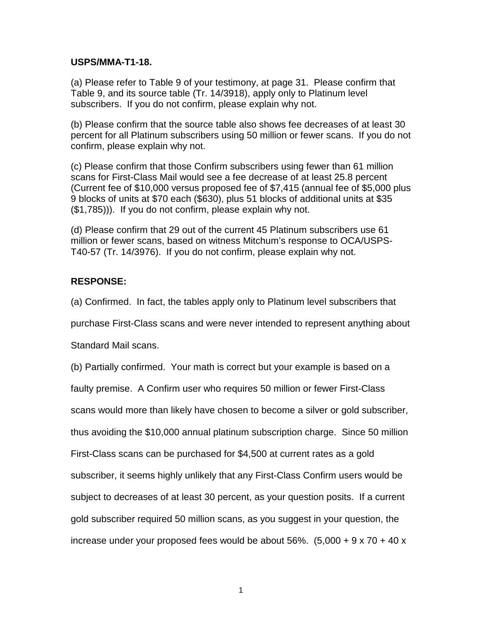#### **USPS/MMA-T1-18.**

(a) Please refer to Table 9 of your testimony, at page 31. Please confirm that Table 9, and its source table (Tr. 14/3918), apply only to Platinum level subscribers. If you do not confirm, please explain why not.

(b) Please confirm that the source table also shows fee decreases of at least 30 percent for all Platinum subscribers using 50 million or fewer scans. If you do not confirm, please explain why not.

(c) Please confirm that those Confirm subscribers using fewer than 61 million scans for First-Class Mail would see a fee decrease of at least 25.8 percent (Current fee of \$10,000 versus proposed fee of \$7,415 (annual fee of \$5,000 plus 9 blocks of units at \$70 each (\$630), plus 51 blocks of additional units at \$35 (\$1,785))). If you do not confirm, please explain why not.

(d) Please confirm that 29 out of the current 45 Platinum subscribers use 61 million or fewer scans, based on witness Mitchum's response to OCA/USPS-T40-57 (Tr. 14/3976). If you do not confirm, please explain why not.

# **RESPONSE:**

(a) Confirmed. In fact, the tables apply only to Platinum level subscribers that

purchase First-Class scans and were never intended to represent anything about

Standard Mail scans.

(b) Partially confirmed. Your math is correct but your example is based on a

faulty premise. A Confirm user who requires 50 million or fewer First-Class

scans would more than likely have chosen to become a silver or gold subscriber,

thus avoiding the \$10,000 annual platinum subscription charge. Since 50 million

First-Class scans can be purchased for \$4,500 at current rates as a gold

subscriber, it seems highly unlikely that any First-Class Confirm users would be

subject to decreases of at least 30 percent, as your question posits. If a current

increase under your proposed fees would be about  $56\%$ .  $(5,000 + 9 \times 70 + 40 \times$ 

gold subscriber required 50 million scans, as you suggest in your question, the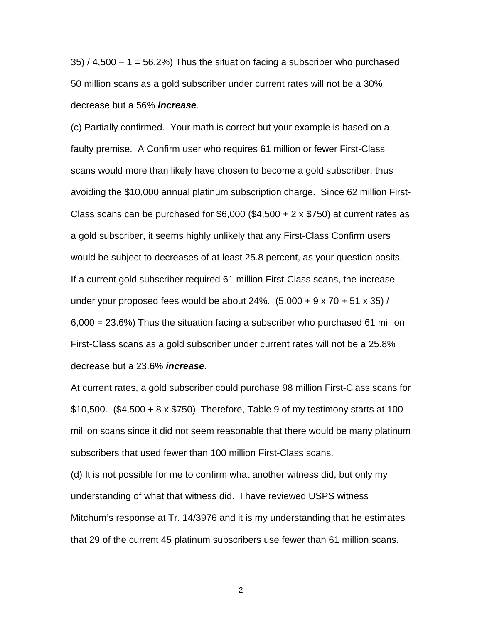$35$  / 4,500 – 1 = 56.2%) Thus the situation facing a subscriber who purchased 50 million scans as a gold subscriber under current rates will not be a 30% decrease but a 56% **increase**.

(c) Partially confirmed. Your math is correct but your example is based on a faulty premise. A Confirm user who requires 61 million or fewer First-Class scans would more than likely have chosen to become a gold subscriber, thus avoiding the \$10,000 annual platinum subscription charge. Since 62 million First-Class scans can be purchased for  $$6,000$  (\$4,500 + 2 x \$750) at current rates as a gold subscriber, it seems highly unlikely that any First-Class Confirm users would be subject to decreases of at least 25.8 percent, as your question posits. If a current gold subscriber required 61 million First-Class scans, the increase under your proposed fees would be about 24%.  $(5,000 + 9 \times 70 + 51 \times 35)$  / 6,000 = 23.6%) Thus the situation facing a subscriber who purchased 61 million First-Class scans as a gold subscriber under current rates will not be a 25.8% decrease but a 23.6% **increase**.

At current rates, a gold subscriber could purchase 98 million First-Class scans for \$10,500. (\$4,500 + 8 x \$750) Therefore, Table 9 of my testimony starts at 100 million scans since it did not seem reasonable that there would be many platinum subscribers that used fewer than 100 million First-Class scans.

(d) It is not possible for me to confirm what another witness did, but only my understanding of what that witness did. I have reviewed USPS witness Mitchum's response at Tr. 14/3976 and it is my understanding that he estimates that 29 of the current 45 platinum subscribers use fewer than 61 million scans.

2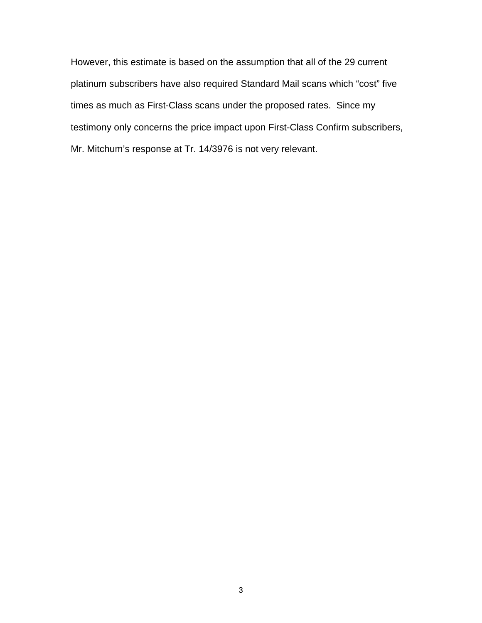However, this estimate is based on the assumption that all of the 29 current platinum subscribers have also required Standard Mail scans which "cost" five times as much as First-Class scans under the proposed rates. Since my testimony only concerns the price impact upon First-Class Confirm subscribers, Mr. Mitchum's response at Tr. 14/3976 is not very relevant.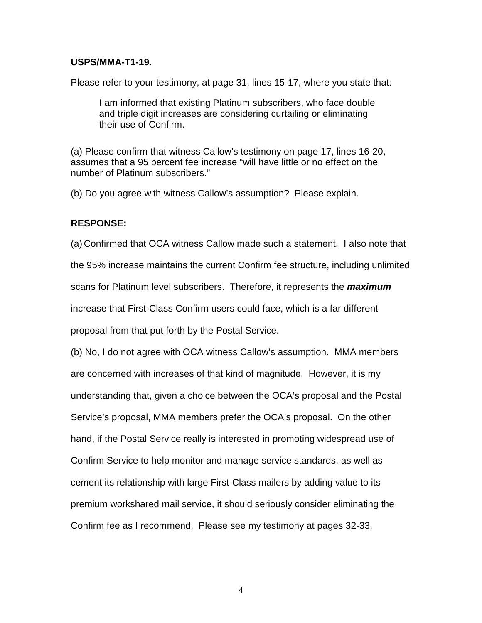### **USPS/MMA-T1-19.**

Please refer to your testimony, at page 31, lines 15-17, where you state that:

I am informed that existing Platinum subscribers, who face double and triple digit increases are considering curtailing or eliminating their use of Confirm.

(a) Please confirm that witness Callow's testimony on page 17, lines 16-20, assumes that a 95 percent fee increase "will have little or no effect on the number of Platinum subscribers."

(b) Do you agree with witness Callow's assumption? Please explain.

### **RESPONSE:**

(a) Confirmed that OCA witness Callow made such a statement. I also note that the 95% increase maintains the current Confirm fee structure, including unlimited scans for Platinum level subscribers. Therefore, it represents the **maximum** increase that First-Class Confirm users could face, which is a far different proposal from that put forth by the Postal Service.

(b) No, I do not agree with OCA witness Callow's assumption. MMA members are concerned with increases of that kind of magnitude. However, it is my understanding that, given a choice between the OCA's proposal and the Postal Service's proposal, MMA members prefer the OCA's proposal. On the other hand, if the Postal Service really is interested in promoting widespread use of Confirm Service to help monitor and manage service standards, as well as cement its relationship with large First-Class mailers by adding value to its premium workshared mail service, it should seriously consider eliminating the Confirm fee as I recommend. Please see my testimony at pages 32-33.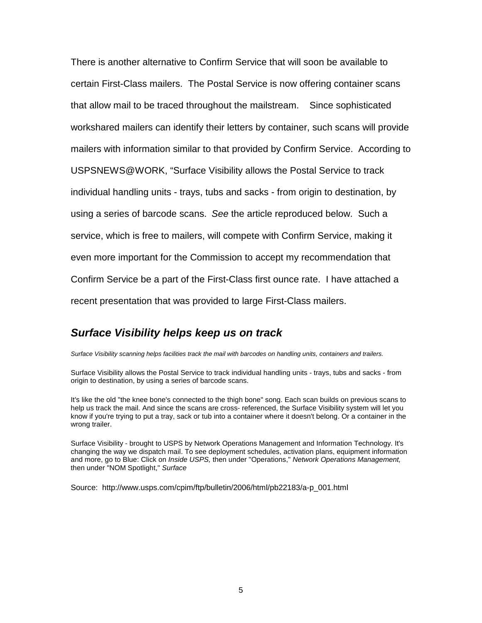There is another alternative to Confirm Service that will soon be available to certain First-Class mailers. The Postal Service is now offering container scans that allow mail to be traced throughout the mailstream. Since sophisticated workshared mailers can identify their letters by container, such scans will provide mailers with information similar to that provided by Confirm Service. According to USPSNEWS@WORK, "Surface Visibility allows the Postal Service to track individual handling units - trays, tubs and sacks - from origin to destination, by using a series of barcode scans. See the article reproduced below. Such a service, which is free to mailers, will compete with Confirm Service, making it even more important for the Commission to accept my recommendation that Confirm Service be a part of the First-Class first ounce rate. I have attached a recent presentation that was provided to large First-Class mailers.

# **Surface Visibility helps keep us on track**

Surface Visibility scanning helps facilities track the mail with barcodes on handling units, containers and trailers.

Surface Visibility allows the Postal Service to track individual handling units - trays, tubs and sacks - from origin to destination, by using a series of barcode scans.

It's like the old "the knee bone's connected to the thigh bone" song. Each scan builds on previous scans to help us track the mail. And since the scans are cross- referenced, the Surface Visibility system will let you know if you're trying to put a tray, sack or tub into a container where it doesn't belong. Or a container in the wrong trailer.

Surface Visibility - brought to USPS by Network Operations Management and Information Technology. It's changing the way we dispatch mail. To see deployment schedules, activation plans, equipment information and more, go to Blue: Click on Inside USPS, then under "Operations," Network Operations Management, then under "NOM Spotlight," Surface

Source: http://www.usps.com/cpim/ftp/bulletin/2006/html/pb22183/a-p\_001.html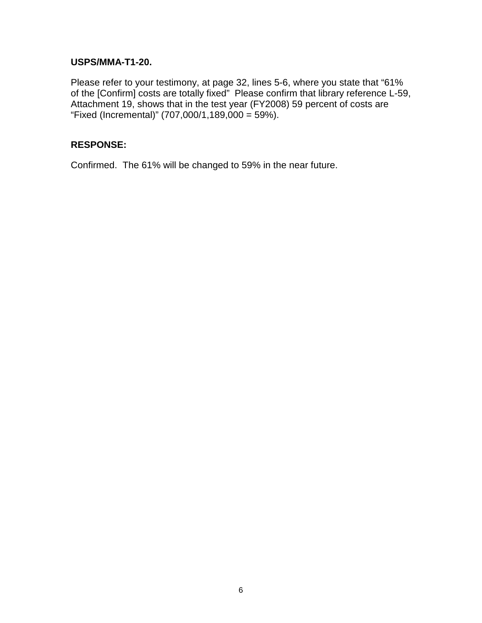## **USPS/MMA-T1-20.**

Please refer to your testimony, at page 32, lines 5-6, where you state that "61% of the [Confirm] costs are totally fixed" Please confirm that library reference L-59, Attachment 19, shows that in the test year (FY2008) 59 percent of costs are "Fixed (Incremental)" (707,000/1,189,000 = 59%).

## **RESPONSE:**

Confirmed. The 61% will be changed to 59% in the near future.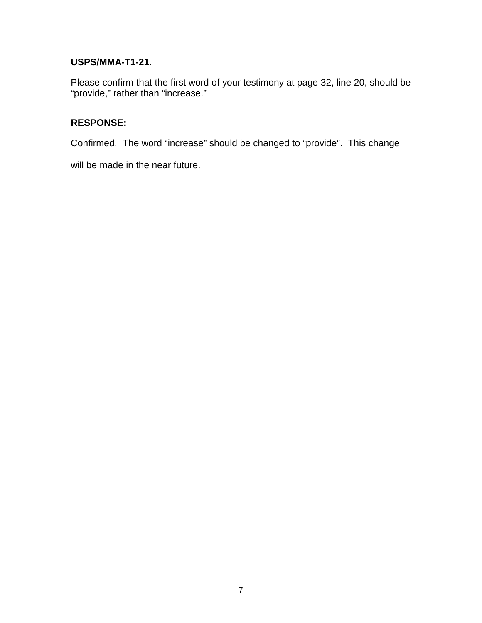# **USPS/MMA-T1-21.**

Please confirm that the first word of your testimony at page 32, line 20, should be "provide," rather than "increase."

# **RESPONSE:**

Confirmed. The word "increase" should be changed to "provide". This change

will be made in the near future.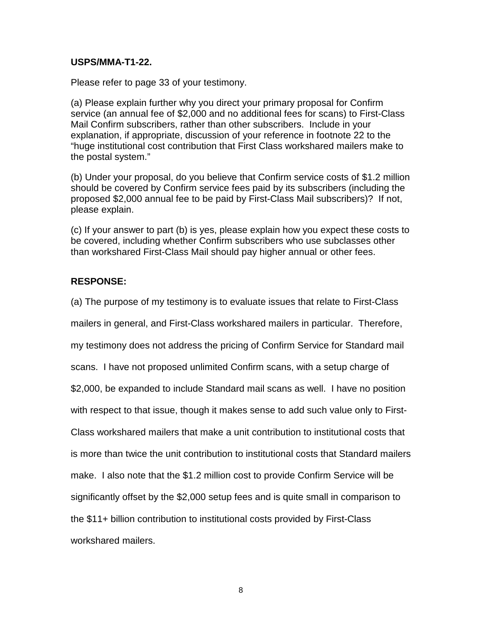### **USPS/MMA-T1-22.**

Please refer to page 33 of your testimony.

(a) Please explain further why you direct your primary proposal for Confirm service (an annual fee of \$2,000 and no additional fees for scans) to First-Class Mail Confirm subscribers, rather than other subscribers. Include in your explanation, if appropriate, discussion of your reference in footnote 22 to the "huge institutional cost contribution that First Class workshared mailers make to the postal system."

(b) Under your proposal, do you believe that Confirm service costs of \$1.2 million should be covered by Confirm service fees paid by its subscribers (including the proposed \$2,000 annual fee to be paid by First-Class Mail subscribers)? If not, please explain.

(c) If your answer to part (b) is yes, please explain how you expect these costs to be covered, including whether Confirm subscribers who use subclasses other than workshared First-Class Mail should pay higher annual or other fees.

# **RESPONSE:**

(a) The purpose of my testimony is to evaluate issues that relate to First-Class

mailers in general, and First-Class workshared mailers in particular. Therefore,

my testimony does not address the pricing of Confirm Service for Standard mail

scans. I have not proposed unlimited Confirm scans, with a setup charge of

\$2,000, be expanded to include Standard mail scans as well. I have no position

with respect to that issue, though it makes sense to add such value only to First-

Class workshared mailers that make a unit contribution to institutional costs that

is more than twice the unit contribution to institutional costs that Standard mailers

make. I also note that the \$1.2 million cost to provide Confirm Service will be

significantly offset by the \$2,000 setup fees and is quite small in comparison to

the \$11+ billion contribution to institutional costs provided by First-Class

workshared mailers.